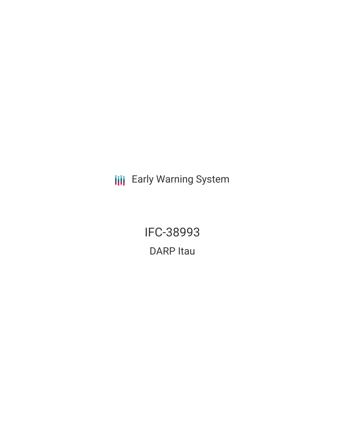**III** Early Warning System

IFC-38993 DARP Itau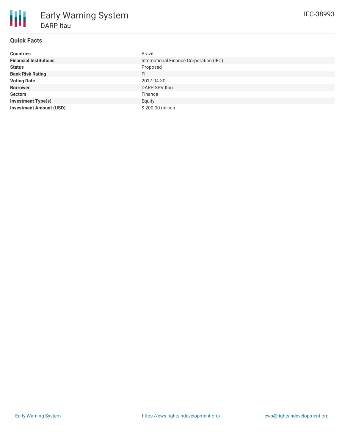# **Quick Facts**

| <b>Countries</b>               | Brazil                                  |
|--------------------------------|-----------------------------------------|
| <b>Financial Institutions</b>  | International Finance Corporation (IFC) |
| <b>Status</b>                  | Proposed                                |
| <b>Bank Risk Rating</b>        | FI                                      |
| <b>Voting Date</b>             | 2017-04-30                              |
| <b>Borrower</b>                | DARP SPV Itau                           |
| <b>Sectors</b>                 | Finance                                 |
| <b>Investment Type(s)</b>      | Equity                                  |
| <b>Investment Amount (USD)</b> | \$200.00 million                        |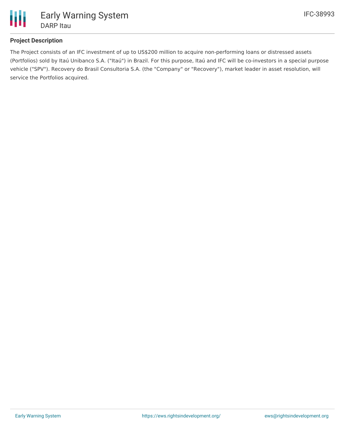

## **Project Description**

The Project consists of an IFC investment of up to US\$200 million to acquire non-performing loans or distressed assets (Portfolios) sold by Itaú Unibanco S.A. ("Itaú") in Brazil. For this purpose, Itaú and IFC will be co-investors in a special purpose vehicle ("SPV"). Recovery do Brasil Consultoria S.A. (the "Company" or "Recovery"), market leader in asset resolution, will service the Portfolios acquired.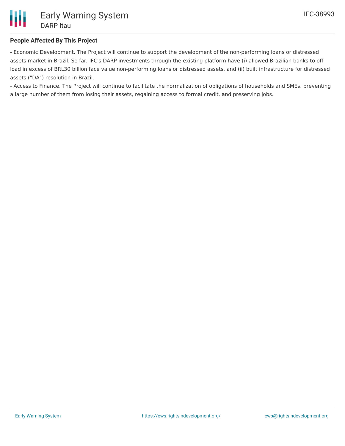## **People Affected By This Project**

- Economic Development. The Project will continue to support the development of the non-performing loans or distressed assets market in Brazil. So far, IFC's DARP investments through the existing platform have (i) allowed Brazilian banks to offload in excess of BRL30 billion face value non-performing loans or distressed assets, and (ii) built infrastructure for distressed assets ("DA") resolution in Brazil.

- Access to Finance. The Project will continue to facilitate the normalization of obligations of households and SMEs, preventing a large number of them from losing their assets, regaining access to formal credit, and preserving jobs.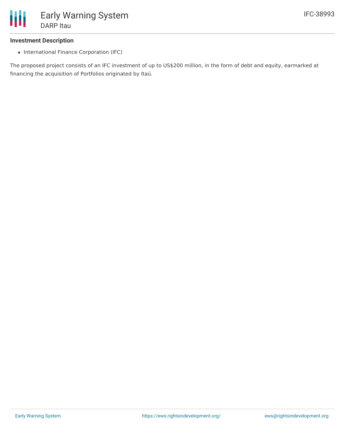

#### **Investment Description**

• International Finance Corporation (IFC)

The proposed project consists of an IFC investment of up to US\$200 million, in the form of debt and equity, earmarked at financing the acquisition of Portfolios originated by Itaú.